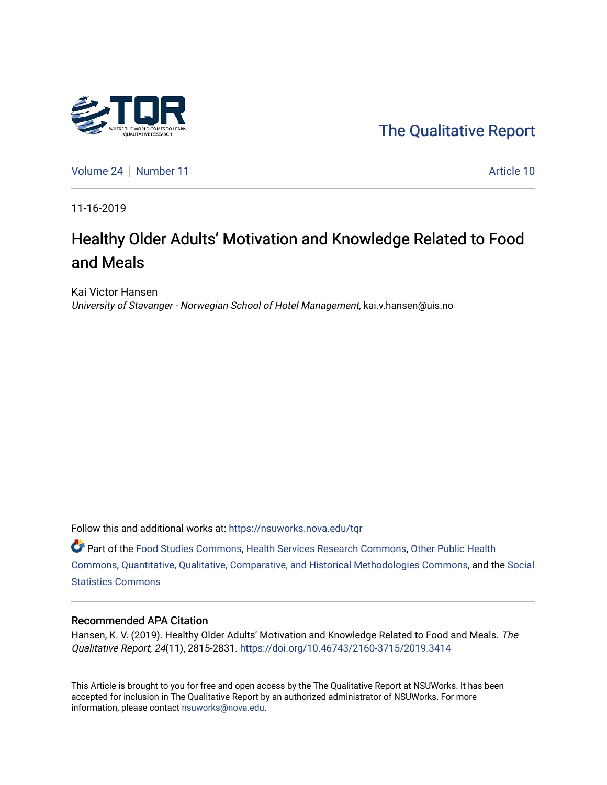

[The Qualitative Report](https://nsuworks.nova.edu/tqr) 

[Volume 24](https://nsuworks.nova.edu/tqr/vol24) [Number 11](https://nsuworks.nova.edu/tqr/vol24/iss11) Article 10

11-16-2019

# Healthy Older Adults' Motivation and Knowledge Related to Food and Meals

Kai Victor Hansen University of Stavanger - Norwegian School of Hotel Management, kai.v.hansen@uis.no

Follow this and additional works at: [https://nsuworks.nova.edu/tqr](https://nsuworks.nova.edu/tqr?utm_source=nsuworks.nova.edu%2Ftqr%2Fvol24%2Fiss11%2F10&utm_medium=PDF&utm_campaign=PDFCoverPages) 

Part of the [Food Studies Commons](http://network.bepress.com/hgg/discipline/1386?utm_source=nsuworks.nova.edu%2Ftqr%2Fvol24%2Fiss11%2F10&utm_medium=PDF&utm_campaign=PDFCoverPages), [Health Services Research Commons](http://network.bepress.com/hgg/discipline/816?utm_source=nsuworks.nova.edu%2Ftqr%2Fvol24%2Fiss11%2F10&utm_medium=PDF&utm_campaign=PDFCoverPages), [Other Public Health](http://network.bepress.com/hgg/discipline/748?utm_source=nsuworks.nova.edu%2Ftqr%2Fvol24%2Fiss11%2F10&utm_medium=PDF&utm_campaign=PDFCoverPages) [Commons](http://network.bepress.com/hgg/discipline/748?utm_source=nsuworks.nova.edu%2Ftqr%2Fvol24%2Fiss11%2F10&utm_medium=PDF&utm_campaign=PDFCoverPages), [Quantitative, Qualitative, Comparative, and Historical Methodologies Commons](http://network.bepress.com/hgg/discipline/423?utm_source=nsuworks.nova.edu%2Ftqr%2Fvol24%2Fiss11%2F10&utm_medium=PDF&utm_campaign=PDFCoverPages), and the [Social](http://network.bepress.com/hgg/discipline/1275?utm_source=nsuworks.nova.edu%2Ftqr%2Fvol24%2Fiss11%2F10&utm_medium=PDF&utm_campaign=PDFCoverPages) [Statistics Commons](http://network.bepress.com/hgg/discipline/1275?utm_source=nsuworks.nova.edu%2Ftqr%2Fvol24%2Fiss11%2F10&utm_medium=PDF&utm_campaign=PDFCoverPages)

#### Recommended APA Citation

Hansen, K. V. (2019). Healthy Older Adults' Motivation and Knowledge Related to Food and Meals. The Qualitative Report, 24(11), 2815-2831.<https://doi.org/10.46743/2160-3715/2019.3414>

This Article is brought to you for free and open access by the The Qualitative Report at NSUWorks. It has been accepted for inclusion in The Qualitative Report by an authorized administrator of NSUWorks. For more information, please contact [nsuworks@nova.edu.](mailto:nsuworks@nova.edu)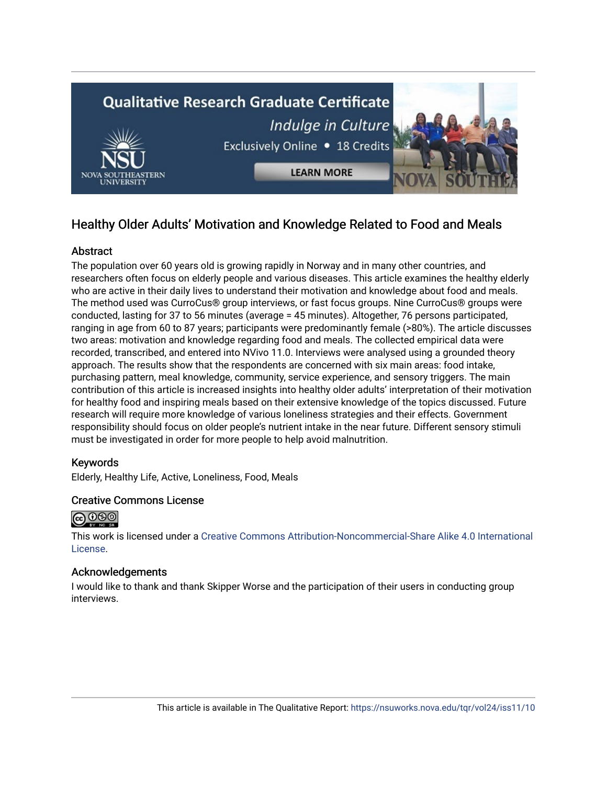

## Healthy Older Adults' Motivation and Knowledge Related to Food and Meals

## **Abstract**

The population over 60 years old is growing rapidly in Norway and in many other countries, and researchers often focus on elderly people and various diseases. This article examines the healthy elderly who are active in their daily lives to understand their motivation and knowledge about food and meals. The method used was CurroCus® group interviews, or fast focus groups. Nine CurroCus® groups were conducted, lasting for 37 to 56 minutes (average = 45 minutes). Altogether, 76 persons participated, ranging in age from 60 to 87 years; participants were predominantly female (>80%). The article discusses two areas: motivation and knowledge regarding food and meals. The collected empirical data were recorded, transcribed, and entered into NVivo 11.0. Interviews were analysed using a grounded theory approach. The results show that the respondents are concerned with six main areas: food intake, purchasing pattern, meal knowledge, community, service experience, and sensory triggers. The main contribution of this article is increased insights into healthy older adults' interpretation of their motivation for healthy food and inspiring meals based on their extensive knowledge of the topics discussed. Future research will require more knowledge of various loneliness strategies and their effects. Government responsibility should focus on older people's nutrient intake in the near future. Different sensory stimuli must be investigated in order for more people to help avoid malnutrition.

## Keywords

Elderly, Healthy Life, Active, Loneliness, Food, Meals

#### Creative Commons License



This work is licensed under a [Creative Commons Attribution-Noncommercial-Share Alike 4.0 International](https://creativecommons.org/licenses/by-nc-sa/4.0/)  [License](https://creativecommons.org/licenses/by-nc-sa/4.0/).

#### Acknowledgements

I would like to thank and thank Skipper Worse and the participation of their users in conducting group interviews.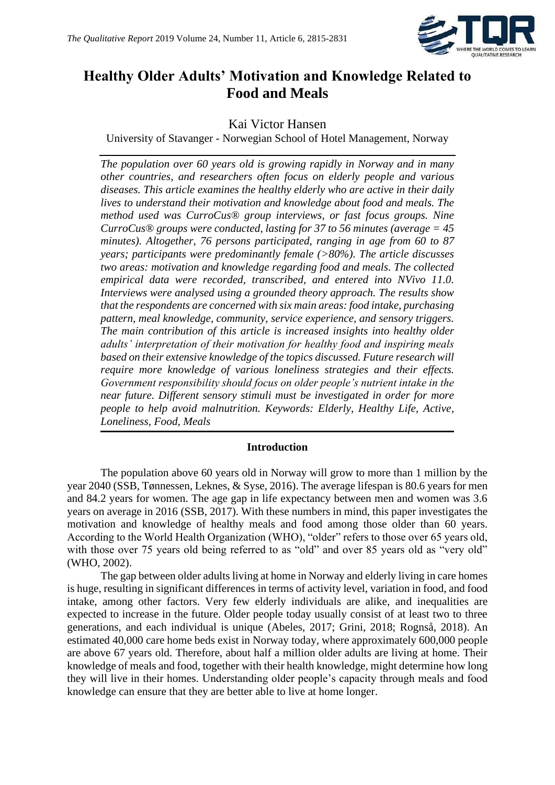

## **Healthy Older Adults' Motivation and Knowledge Related to Food and Meals**

## Kai Victor Hansen

University of Stavanger - Norwegian School of Hotel Management, Norway

*The population over 60 years old is growing rapidly in Norway and in many other countries, and researchers often focus on elderly people and various diseases. This article examines the healthy elderly who are active in their daily lives to understand their motivation and knowledge about food and meals. The method used was CurroCus® group interviews, or fast focus groups. Nine CurroCus® groups were conducted, lasting for 37 to 56 minutes (average = 45 minutes). Altogether, 76 persons participated, ranging in age from 60 to 87 years; participants were predominantly female (>80%). The article discusses two areas: motivation and knowledge regarding food and meals. The collected empirical data were recorded, transcribed, and entered into NVivo 11.0. Interviews were analysed using a grounded theory approach. The results show that the respondents are concerned with six main areas: food intake, purchasing pattern, meal knowledge, community, service experience, and sensory triggers. The main contribution of this article is increased insights into healthy older adults' interpretation of their motivation for healthy food and inspiring meals based on their extensive knowledge of the topics discussed. Future research will require more knowledge of various loneliness strategies and their effects. Government responsibility should focus on older people's nutrient intake in the near future. Different sensory stimuli must be investigated in order for more people to help avoid malnutrition. Keywords: Elderly, Healthy Life, Active, Loneliness, Food, Meals*

## **Introduction**

The population above 60 years old in Norway will grow to more than 1 million by the year 2040 (SSB, Tønnessen, Leknes, & Syse, 2016). The average lifespan is 80.6 years for men and 84.2 years for women. The age gap in life expectancy between men and women was 3.6 years on average in 2016 (SSB, 2017). With these numbers in mind, this paper investigates the motivation and knowledge of healthy meals and food among those older than 60 years. According to the World Health Organization (WHO), "older" refers to those over 65 years old, with those over 75 years old being referred to as "old" and over 85 years old as "very old" (WHO, 2002).

The gap between older adults living at home in Norway and elderly living in care homes is huge, resulting in significant differences in terms of activity level, variation in food, and food intake, among other factors. Very few elderly individuals are alike, and inequalities are expected to increase in the future. Older people today usually consist of at least two to three generations, and each individual is unique (Abeles, 2017; Grini, 2018; Rognså, 2018). An estimated 40,000 care home beds exist in Norway today, where approximately 600,000 people are above 67 years old. Therefore, about half a million older adults are living at home. Their knowledge of meals and food, together with their health knowledge, might determine how long they will live in their homes. Understanding older people's capacity through meals and food knowledge can ensure that they are better able to live at home longer.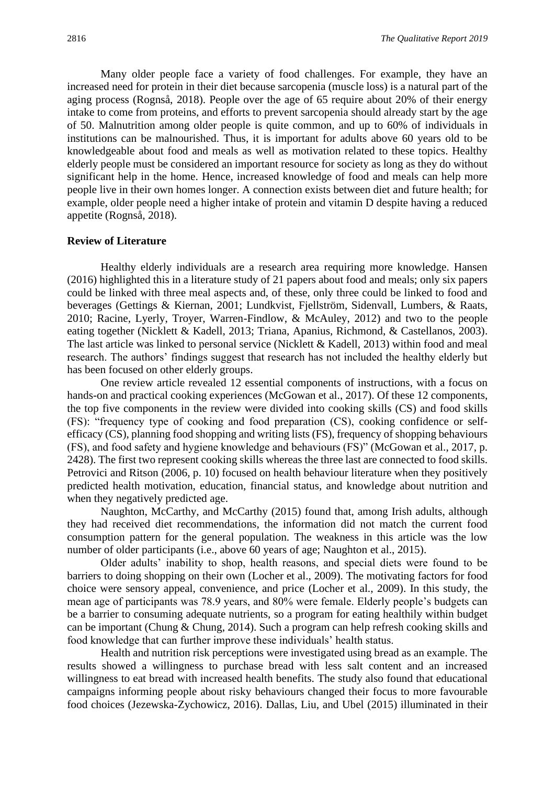Many older people face a variety of food challenges. For example, they have an increased need for protein in their diet because sarcopenia (muscle loss) is a natural part of the aging process (Rognså, 2018). People over the age of 65 require about 20% of their energy intake to come from proteins, and efforts to prevent sarcopenia should already start by the age of 50. Malnutrition among older people is quite common, and up to 60% of individuals in institutions can be malnourished. Thus, it is important for adults above 60 years old to be knowledgeable about food and meals as well as motivation related to these topics. Healthy elderly people must be considered an important resource for society as long as they do without significant help in the home. Hence, increased knowledge of food and meals can help more people live in their own homes longer. A connection exists between diet and future health; for example, older people need a higher intake of protein and vitamin D despite having a reduced appetite (Rognså, 2018).

#### **Review of Literature**

Healthy elderly individuals are a research area requiring more knowledge. Hansen (2016) highlighted this in a literature study of 21 papers about food and meals; only six papers could be linked with three meal aspects and, of these, only three could be linked to food and beverages (Gettings & Kiernan, 2001; Lundkvist, Fjellström, Sidenvall, Lumbers, & Raats, 2010; Racine, Lyerly, Troyer, Warren-Findlow, & McAuley, 2012) and two to the people eating together (Nicklett & Kadell, 2013; Triana, Apanius, Richmond, & Castellanos, 2003). The last article was linked to personal service (Nicklett & Kadell, 2013) within food and meal research. The authors' findings suggest that research has not included the healthy elderly but has been focused on other elderly groups.

One review article revealed 12 essential components of instructions, with a focus on hands-on and practical cooking experiences (McGowan et al., 2017). Of these 12 components, the top five components in the review were divided into cooking skills (CS) and food skills (FS): "frequency type of cooking and food preparation (CS), cooking confidence or selfefficacy (CS), planning food shopping and writing lists (FS), frequency of shopping behaviours (FS), and food safety and hygiene knowledge and behaviours (FS)" (McGowan et al., 2017, p. 2428). The first two represent cooking skills whereas the three last are connected to food skills. Petrovici and Ritson (2006, p. 10) focused on health behaviour literature when they positively predicted health motivation, education, financial status, and knowledge about nutrition and when they negatively predicted age.

Naughton, McCarthy, and McCarthy (2015) found that, among Irish adults, although they had received diet recommendations, the information did not match the current food consumption pattern for the general population. The weakness in this article was the low number of older participants (i.e., above 60 years of age; Naughton et al., 2015).

Older adults' inability to shop, health reasons, and special diets were found to be barriers to doing shopping on their own (Locher et al., 2009). The motivating factors for food choice were sensory appeal, convenience, and price (Locher et al., 2009). In this study, the mean age of participants was 78.9 years, and 80% were female. Elderly people's budgets can be a barrier to consuming adequate nutrients, so a program for eating healthily within budget can be important (Chung & Chung, 2014). Such a program can help refresh cooking skills and food knowledge that can further improve these individuals' health status.

Health and nutrition risk perceptions were investigated using bread as an example. The results showed a willingness to purchase bread with less salt content and an increased willingness to eat bread with increased health benefits. The study also found that educational campaigns informing people about risky behaviours changed their focus to more favourable food choices (Jezewska-Zychowicz, 2016). Dallas, Liu, and Ubel (2015) illuminated in their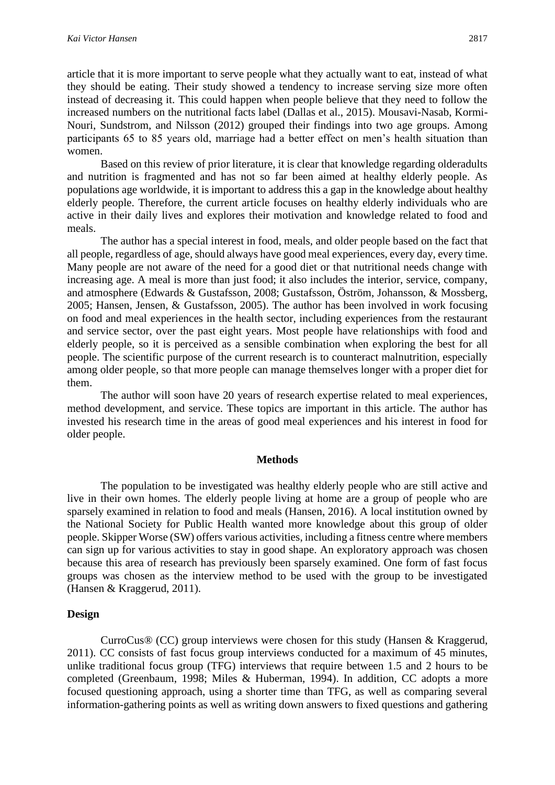article that it is more important to serve people what they actually want to eat, instead of what they should be eating. Their study showed a tendency to increase serving size more often instead of decreasing it. This could happen when people believe that they need to follow the increased numbers on the nutritional facts label (Dallas et al., 2015). Mousavi-Nasab, Kormi-Nouri, Sundstrom, and Nilsson (2012) grouped their findings into two age groups. Among participants 65 to 85 years old, marriage had a better effect on men's health situation than women.

Based on this review of prior literature, it is clear that knowledge regarding olderadults and nutrition is fragmented and has not so far been aimed at healthy elderly people. As populations age worldwide, it is important to address this a gap in the knowledge about healthy elderly people. Therefore, the current article focuses on healthy elderly individuals who are active in their daily lives and explores their motivation and knowledge related to food and meals.

The author has a special interest in food, meals, and older people based on the fact that all people, regardless of age, should always have good meal experiences, every day, every time. Many people are not aware of the need for a good diet or that nutritional needs change with increasing age. A meal is more than just food; it also includes the interior, service, company, and atmosphere (Edwards & Gustafsson, 2008; Gustafsson, Öström, Johansson, & Mossberg, 2005; Hansen, Jensen, & Gustafsson, 2005). The author has been involved in work focusing on food and meal experiences in the health sector, including experiences from the restaurant and service sector, over the past eight years. Most people have relationships with food and elderly people, so it is perceived as a sensible combination when exploring the best for all people. The scientific purpose of the current research is to counteract malnutrition, especially among older people, so that more people can manage themselves longer with a proper diet for them.

The author will soon have 20 years of research expertise related to meal experiences, method development, and service. These topics are important in this article. The author has invested his research time in the areas of good meal experiences and his interest in food for older people.

#### **Methods**

The population to be investigated was healthy elderly people who are still active and live in their own homes. The elderly people living at home are a group of people who are sparsely examined in relation to food and meals (Hansen, 2016). A local institution owned by the National Society for Public Health wanted more knowledge about this group of older people. Skipper Worse (SW) offers various activities, including a fitness centre where members can sign up for various activities to stay in good shape. An exploratory approach was chosen because this area of research has previously been sparsely examined. One form of fast focus groups was chosen as the interview method to be used with the group to be investigated (Hansen & Kraggerud, 2011).

#### **Design**

CurroCus® (CC) group interviews were chosen for this study (Hansen & Kraggerud, 2011). CC consists of fast focus group interviews conducted for a maximum of 45 minutes, unlike traditional focus group (TFG) interviews that require between 1.5 and 2 hours to be completed (Greenbaum, 1998; Miles & Huberman, 1994). In addition, CC adopts a more focused questioning approach, using a shorter time than TFG, as well as comparing several information-gathering points as well as writing down answers to fixed questions and gathering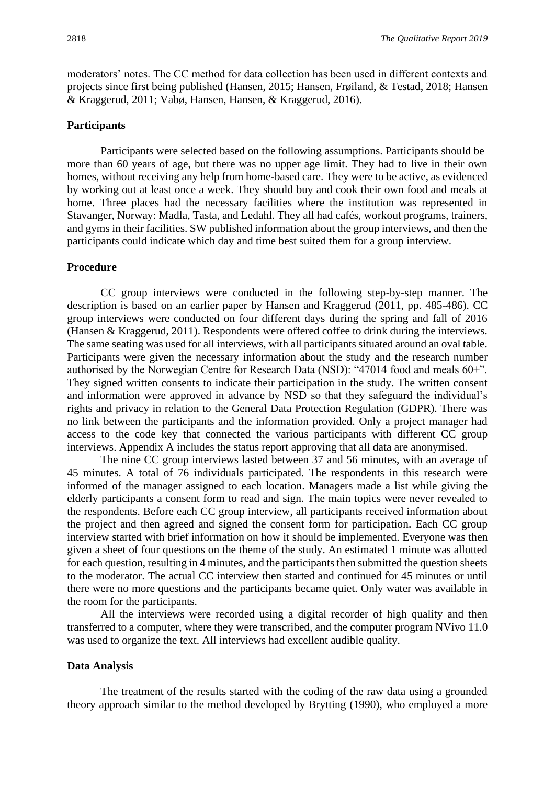moderators' notes. The CC method for data collection has been used in different contexts and projects since first being published (Hansen, 2015; Hansen, Frøiland, & Testad, 2018; Hansen & Kraggerud, 2011; Vabø, Hansen, Hansen, & Kraggerud, 2016).

#### **Participants**

Participants were selected based on the following assumptions. Participants should be more than 60 years of age, but there was no upper age limit. They had to live in their own homes, without receiving any help from home-based care. They were to be active, as evidenced by working out at least once a week. They should buy and cook their own food and meals at home. Three places had the necessary facilities where the institution was represented in Stavanger, Norway: Madla, Tasta, and Ledahl. They all had cafés, workout programs, trainers, and gyms in their facilities. SW published information about the group interviews, and then the participants could indicate which day and time best suited them for a group interview.

#### **Procedure**

CC group interviews were conducted in the following step-by-step manner. The description is based on an earlier paper by Hansen and Kraggerud (2011, pp. 485-486). CC group interviews were conducted on four different days during the spring and fall of 2016 (Hansen & Kraggerud, 2011). Respondents were offered coffee to drink during the interviews. The same seating was used for all interviews, with all participants situated around an oval table. Participants were given the necessary information about the study and the research number authorised by the Norwegian Centre for Research Data (NSD): "47014 food and meals 60+". They signed written consents to indicate their participation in the study. The written consent and information were approved in advance by NSD so that they safeguard the individual's rights and privacy in relation to the General Data Protection Regulation (GDPR). There was no link between the participants and the information provided. Only a project manager had access to the code key that connected the various participants with different CC group interviews. Appendix A includes the status report approving that all data are anonymised.

The nine CC group interviews lasted between 37 and 56 minutes, with an average of 45 minutes. A total of 76 individuals participated. The respondents in this research were informed of the manager assigned to each location. Managers made a list while giving the elderly participants a consent form to read and sign. The main topics were never revealed to the respondents. Before each CC group interview, all participants received information about the project and then agreed and signed the consent form for participation. Each CC group interview started with brief information on how it should be implemented. Everyone was then given a sheet of four questions on the theme of the study. An estimated 1 minute was allotted for each question, resulting in 4 minutes, and the participants then submitted the question sheets to the moderator. The actual CC interview then started and continued for 45 minutes or until there were no more questions and the participants became quiet. Only water was available in the room for the participants.

All the interviews were recorded using a digital recorder of high quality and then transferred to a computer, where they were transcribed, and the computer program NVivo 11.0 was used to organize the text. All interviews had excellent audible quality.

#### **Data Analysis**

The treatment of the results started with the coding of the raw data using a grounded theory approach similar to the method developed by Brytting (1990), who employed a more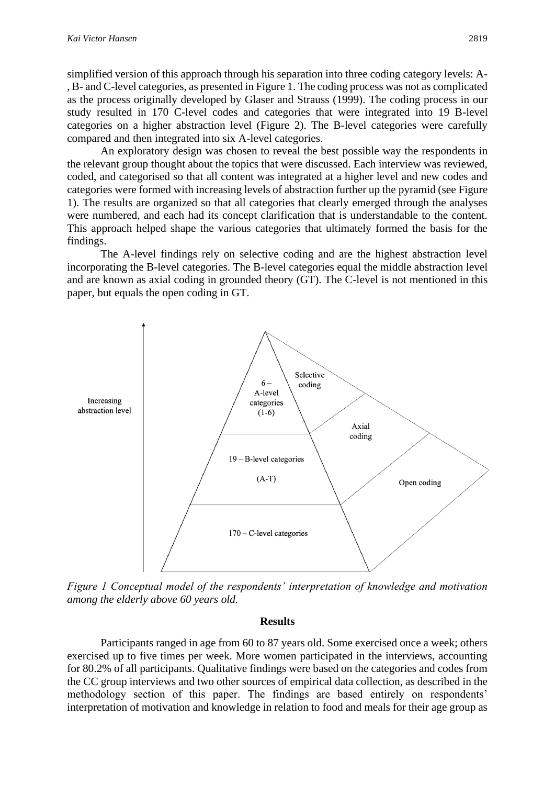simplified version of this approach through his separation into three coding category levels: A- , B- and C-level categories, as presented in Figure 1. The coding process was not as complicated as the process originally developed by Glaser and Strauss (1999). The coding process in our study resulted in 170 C-level codes and categories that were integrated into 19 B-level categories on a higher abstraction level (Figure 2). The B-level categories were carefully compared and then integrated into six A-level categories.

An exploratory design was chosen to reveal the best possible way the respondents in the relevant group thought about the topics that were discussed. Each interview was reviewed, coded, and categorised so that all content was integrated at a higher level and new codes and categories were formed with increasing levels of abstraction further up the pyramid (see Figure 1). The results are organized so that all categories that clearly emerged through the analyses were numbered, and each had its concept clarification that is understandable to the content. This approach helped shape the various categories that ultimately formed the basis for the findings.

The A-level findings rely on selective coding and are the highest abstraction level incorporating the B-level categories. The B-level categories equal the middle abstraction level and are known as axial coding in grounded theory (GT). The C-level is not mentioned in this paper, but equals the open coding in GT.



*Figure 1 Conceptual model of the respondents' interpretation of knowledge and motivation among the elderly above 60 years old.*

#### **Results**

Participants ranged in age from 60 to 87 years old. Some exercised once a week; others exercised up to five times per week. More women participated in the interviews, accounting for 80.2% of all participants. Qualitative findings were based on the categories and codes from the CC group interviews and two other sources of empirical data collection, as described in the methodology section of this paper. The findings are based entirely on respondents' interpretation of motivation and knowledge in relation to food and meals for their age group as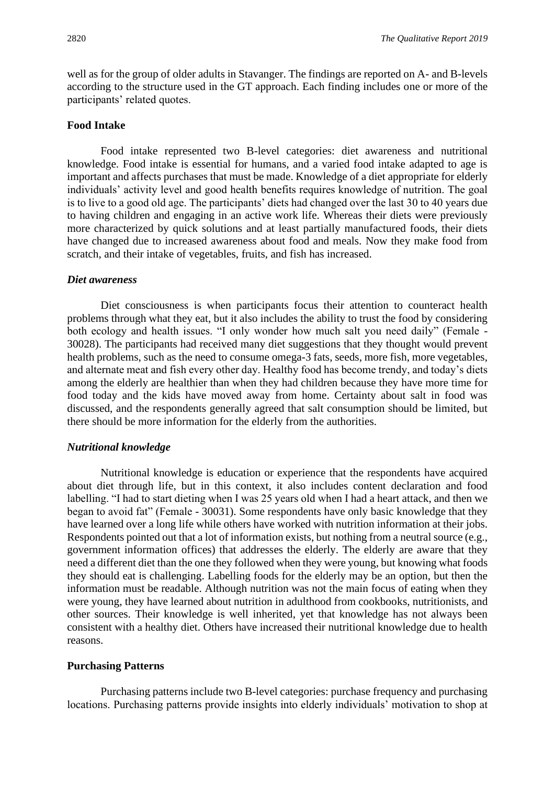well as for the group of older adults in Stavanger. The findings are reported on A- and B-levels according to the structure used in the GT approach. Each finding includes one or more of the participants' related quotes.

## **Food Intake**

Food intake represented two B-level categories: diet awareness and nutritional knowledge. Food intake is essential for humans, and a varied food intake adapted to age is important and affects purchases that must be made. Knowledge of a diet appropriate for elderly individuals' activity level and good health benefits requires knowledge of nutrition. The goal is to live to a good old age. The participants' diets had changed over the last 30 to 40 years due to having children and engaging in an active work life. Whereas their diets were previously more characterized by quick solutions and at least partially manufactured foods, their diets have changed due to increased awareness about food and meals. Now they make food from scratch, and their intake of vegetables, fruits, and fish has increased.

## *Diet awareness*

Diet consciousness is when participants focus their attention to counteract health problems through what they eat, but it also includes the ability to trust the food by considering both ecology and health issues. "I only wonder how much salt you need daily" (Female - 30028). The participants had received many diet suggestions that they thought would prevent health problems, such as the need to consume omega-3 fats, seeds, more fish, more vegetables, and alternate meat and fish every other day. Healthy food has become trendy, and today's diets among the elderly are healthier than when they had children because they have more time for food today and the kids have moved away from home. Certainty about salt in food was discussed, and the respondents generally agreed that salt consumption should be limited, but there should be more information for the elderly from the authorities.

#### *Nutritional knowledge*

Nutritional knowledge is education or experience that the respondents have acquired about diet through life, but in this context, it also includes content declaration and food labelling. "I had to start dieting when I was 25 years old when I had a heart attack, and then we began to avoid fat" (Female - 30031). Some respondents have only basic knowledge that they have learned over a long life while others have worked with nutrition information at their jobs. Respondents pointed out that a lot of information exists, but nothing from a neutral source (e.g., government information offices) that addresses the elderly. The elderly are aware that they need a different diet than the one they followed when they were young, but knowing what foods they should eat is challenging. Labelling foods for the elderly may be an option, but then the information must be readable. Although nutrition was not the main focus of eating when they were young, they have learned about nutrition in adulthood from cookbooks, nutritionists, and other sources. Their knowledge is well inherited, yet that knowledge has not always been consistent with a healthy diet. Others have increased their nutritional knowledge due to health reasons.

#### **Purchasing Patterns**

Purchasing patterns include two B-level categories: purchase frequency and purchasing locations. Purchasing patterns provide insights into elderly individuals' motivation to shop at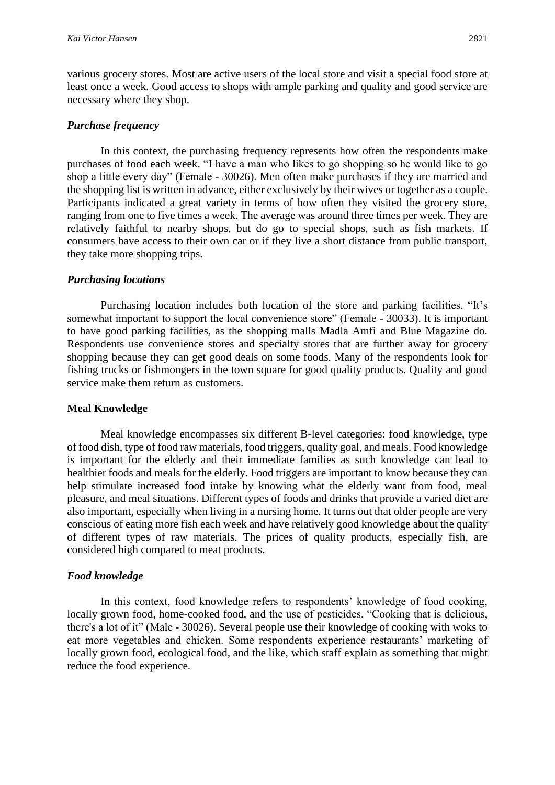various grocery stores. Most are active users of the local store and visit a special food store at least once a week. Good access to shops with ample parking and quality and good service are necessary where they shop.

#### *Purchase frequency*

In this context, the purchasing frequency represents how often the respondents make purchases of food each week. "I have a man who likes to go shopping so he would like to go shop a little every day" (Female - 30026). Men often make purchases if they are married and the shopping list is written in advance, either exclusively by their wives or together as a couple. Participants indicated a great variety in terms of how often they visited the grocery store, ranging from one to five times a week. The average was around three times per week. They are relatively faithful to nearby shops, but do go to special shops, such as fish markets. If consumers have access to their own car or if they live a short distance from public transport, they take more shopping trips.

#### *Purchasing locations*

Purchasing location includes both location of the store and parking facilities. "It's somewhat important to support the local convenience store" (Female - 30033). It is important to have good parking facilities, as the shopping malls Madla Amfi and Blue Magazine do. Respondents use convenience stores and specialty stores that are further away for grocery shopping because they can get good deals on some foods. Many of the respondents look for fishing trucks or fishmongers in the town square for good quality products. Quality and good service make them return as customers.

#### **Meal Knowledge**

Meal knowledge encompasses six different B-level categories: food knowledge, type of food dish, type of food raw materials, food triggers, quality goal, and meals. Food knowledge is important for the elderly and their immediate families as such knowledge can lead to healthier foods and meals for the elderly. Food triggers are important to know because they can help stimulate increased food intake by knowing what the elderly want from food, meal pleasure, and meal situations. Different types of foods and drinks that provide a varied diet are also important, especially when living in a nursing home. It turns out that older people are very conscious of eating more fish each week and have relatively good knowledge about the quality of different types of raw materials. The prices of quality products, especially fish, are considered high compared to meat products.

## *Food knowledge*

In this context, food knowledge refers to respondents' knowledge of food cooking, locally grown food, home-cooked food, and the use of pesticides. "Cooking that is delicious, there's a lot of it" (Male - 30026). Several people use their knowledge of cooking with woks to eat more vegetables and chicken. Some respondents experience restaurants' marketing of locally grown food, ecological food, and the like, which staff explain as something that might reduce the food experience.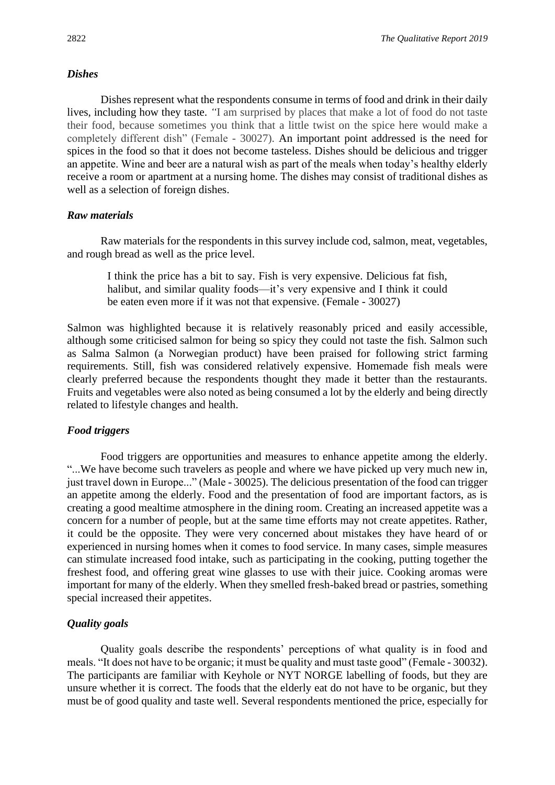#### *Dishes*

Dishes represent what the respondents consume in terms of food and drink in their daily lives, including how they taste. *"*I am surprised by places that make a lot of food do not taste their food, because sometimes you think that a little twist on the spice here would make a completely different dish" (Female - 30027). An important point addressed is the need for spices in the food so that it does not become tasteless. Dishes should be delicious and trigger an appetite. Wine and beer are a natural wish as part of the meals when today's healthy elderly receive a room or apartment at a nursing home. The dishes may consist of traditional dishes as well as a selection of foreign dishes.

## *Raw materials*

Raw materials for the respondents in this survey include cod, salmon, meat, vegetables, and rough bread as well as the price level.

I think the price has a bit to say. Fish is very expensive. Delicious fat fish, halibut, and similar quality foods—it's very expensive and I think it could be eaten even more if it was not that expensive. (Female - 30027)

Salmon was highlighted because it is relatively reasonably priced and easily accessible, although some criticised salmon for being so spicy they could not taste the fish. Salmon such as Salma Salmon (a Norwegian product) have been praised for following strict farming requirements. Still, fish was considered relatively expensive. Homemade fish meals were clearly preferred because the respondents thought they made it better than the restaurants. Fruits and vegetables were also noted as being consumed a lot by the elderly and being directly related to lifestyle changes and health.

## *Food triggers*

Food triggers are opportunities and measures to enhance appetite among the elderly. "...We have become such travelers as people and where we have picked up very much new in, just travel down in Europe..." (Male - 30025). The delicious presentation of the food can trigger an appetite among the elderly. Food and the presentation of food are important factors, as is creating a good mealtime atmosphere in the dining room. Creating an increased appetite was a concern for a number of people, but at the same time efforts may not create appetites. Rather, it could be the opposite. They were very concerned about mistakes they have heard of or experienced in nursing homes when it comes to food service. In many cases, simple measures can stimulate increased food intake, such as participating in the cooking, putting together the freshest food, and offering great wine glasses to use with their juice. Cooking aromas were important for many of the elderly. When they smelled fresh-baked bread or pastries, something special increased their appetites.

## *Quality goals*

Quality goals describe the respondents' perceptions of what quality is in food and meals. "It does not have to be organic; it must be quality and must taste good" (Female - 30032). The participants are familiar with Keyhole or NYT NORGE labelling of foods, but they are unsure whether it is correct. The foods that the elderly eat do not have to be organic, but they must be of good quality and taste well. Several respondents mentioned the price, especially for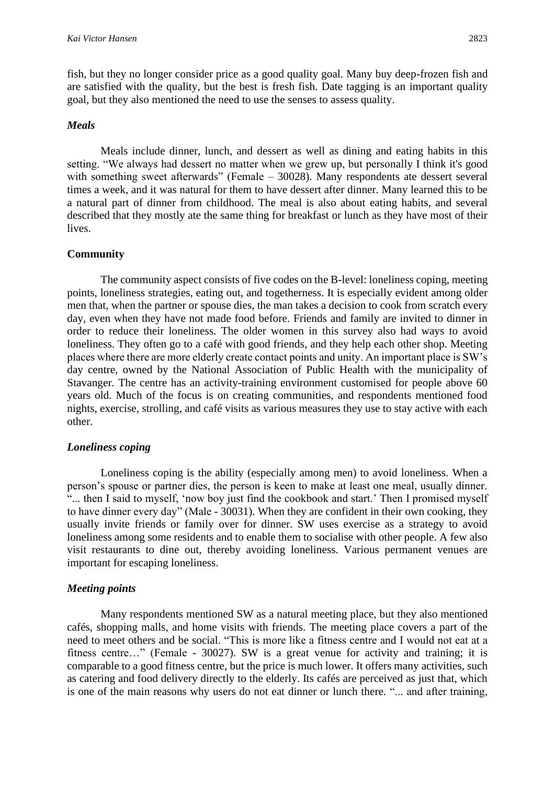fish, but they no longer consider price as a good quality goal. Many buy deep-frozen fish and are satisfied with the quality, but the best is fresh fish. Date tagging is an important quality goal, but they also mentioned the need to use the senses to assess quality.

#### *Meals*

Meals include dinner, lunch, and dessert as well as dining and eating habits in this setting. "We always had dessert no matter when we grew up, but personally I think it's good with something sweet afterwards" (Female – 30028). Many respondents ate dessert several times a week, and it was natural for them to have dessert after dinner. Many learned this to be a natural part of dinner from childhood. The meal is also about eating habits, and several described that they mostly ate the same thing for breakfast or lunch as they have most of their lives.

#### **Community**

The community aspect consists of five codes on the B-level: loneliness coping, meeting points, loneliness strategies, eating out, and togetherness. It is especially evident among older men that, when the partner or spouse dies, the man takes a decision to cook from scratch every day, even when they have not made food before. Friends and family are invited to dinner in order to reduce their loneliness. The older women in this survey also had ways to avoid loneliness. They often go to a café with good friends, and they help each other shop. Meeting places where there are more elderly create contact points and unity. An important place is SW's day centre, owned by the National Association of Public Health with the municipality of Stavanger. The centre has an activity-training environment customised for people above 60 years old. Much of the focus is on creating communities, and respondents mentioned food nights, exercise, strolling, and café visits as various measures they use to stay active with each other.

#### *Loneliness coping*

Loneliness coping is the ability (especially among men) to avoid loneliness. When a person's spouse or partner dies, the person is keen to make at least one meal, usually dinner. "... then I said to myself, 'now boy just find the cookbook and start.' Then I promised myself to have dinner every day" (Male - 30031). When they are confident in their own cooking, they usually invite friends or family over for dinner. SW uses exercise as a strategy to avoid loneliness among some residents and to enable them to socialise with other people. A few also visit restaurants to dine out, thereby avoiding loneliness. Various permanent venues are important for escaping loneliness.

#### *Meeting points*

Many respondents mentioned SW as a natural meeting place, but they also mentioned cafés, shopping malls, and home visits with friends. The meeting place covers a part of the need to meet others and be social. "This is more like a fitness centre and I would not eat at a fitness centre…" (Female - 30027). SW is a great venue for activity and training; it is comparable to a good fitness centre, but the price is much lower. It offers many activities, such as catering and food delivery directly to the elderly. Its cafés are perceived as just that, which is one of the main reasons why users do not eat dinner or lunch there. "... and after training,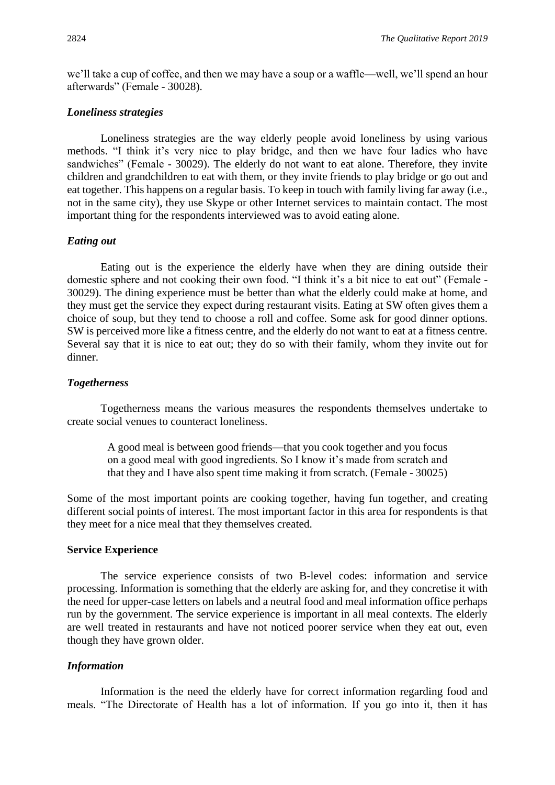we'll take a cup of coffee, and then we may have a soup or a waffle—well, we'll spend an hour afterwards" (Female - 30028).

#### *Loneliness strategies*

Loneliness strategies are the way elderly people avoid loneliness by using various methods. "I think it's very nice to play bridge, and then we have four ladies who have sandwiches" (Female - 30029). The elderly do not want to eat alone. Therefore, they invite children and grandchildren to eat with them, or they invite friends to play bridge or go out and eat together. This happens on a regular basis. To keep in touch with family living far away (i.e., not in the same city), they use Skype or other Internet services to maintain contact. The most important thing for the respondents interviewed was to avoid eating alone.

#### *Eating out*

Eating out is the experience the elderly have when they are dining outside their domestic sphere and not cooking their own food. "I think it's a bit nice to eat out" (Female - 30029). The dining experience must be better than what the elderly could make at home, and they must get the service they expect during restaurant visits. Eating at SW often gives them a choice of soup, but they tend to choose a roll and coffee. Some ask for good dinner options. SW is perceived more like a fitness centre, and the elderly do not want to eat at a fitness centre. Several say that it is nice to eat out; they do so with their family, whom they invite out for dinner.

#### *Togetherness*

Togetherness means the various measures the respondents themselves undertake to create social venues to counteract loneliness.

A good meal is between good friends—that you cook together and you focus on a good meal with good ingredients. So I know it's made from scratch and that they and I have also spent time making it from scratch. (Female - 30025)

Some of the most important points are cooking together, having fun together, and creating different social points of interest. The most important factor in this area for respondents is that they meet for a nice meal that they themselves created.

#### **Service Experience**

The service experience consists of two B-level codes: information and service processing. Information is something that the elderly are asking for, and they concretise it with the need for upper-case letters on labels and a neutral food and meal information office perhaps run by the government. The service experience is important in all meal contexts. The elderly are well treated in restaurants and have not noticed poorer service when they eat out, even though they have grown older.

#### *Information*

Information is the need the elderly have for correct information regarding food and meals. "The Directorate of Health has a lot of information. If you go into it, then it has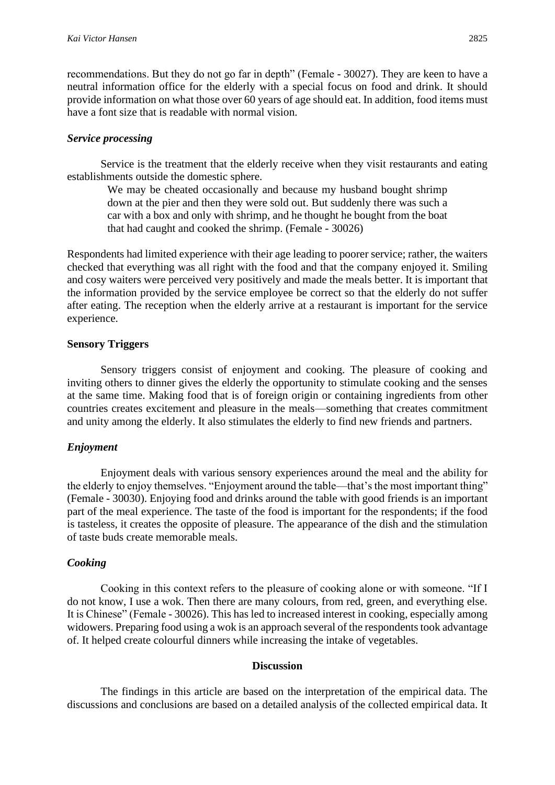recommendations. But they do not go far in depth" (Female - 30027). They are keen to have a neutral information office for the elderly with a special focus on food and drink. It should provide information on what those over 60 years of age should eat. In addition, food items must have a font size that is readable with normal vision.

## *Service processing*

Service is the treatment that the elderly receive when they visit restaurants and eating establishments outside the domestic sphere.

We may be cheated occasionally and because my husband bought shrimp down at the pier and then they were sold out. But suddenly there was such a car with a box and only with shrimp, and he thought he bought from the boat that had caught and cooked the shrimp. (Female - 30026)

Respondents had limited experience with their age leading to poorer service; rather, the waiters checked that everything was all right with the food and that the company enjoyed it. Smiling and cosy waiters were perceived very positively and made the meals better. It is important that the information provided by the service employee be correct so that the elderly do not suffer after eating. The reception when the elderly arrive at a restaurant is important for the service experience.

## **Sensory Triggers**

Sensory triggers consist of enjoyment and cooking. The pleasure of cooking and inviting others to dinner gives the elderly the opportunity to stimulate cooking and the senses at the same time. Making food that is of foreign origin or containing ingredients from other countries creates excitement and pleasure in the meals—something that creates commitment and unity among the elderly. It also stimulates the elderly to find new friends and partners.

## *Enjoyment*

Enjoyment deals with various sensory experiences around the meal and the ability for the elderly to enjoy themselves. "Enjoyment around the table—that's the most important thing" (Female - 30030). Enjoying food and drinks around the table with good friends is an important part of the meal experience. The taste of the food is important for the respondents; if the food is tasteless, it creates the opposite of pleasure. The appearance of the dish and the stimulation of taste buds create memorable meals.

## *Cooking*

Cooking in this context refers to the pleasure of cooking alone or with someone. "If I do not know, I use a wok. Then there are many colours, from red, green, and everything else. It is Chinese" (Female - 30026). This has led to increased interest in cooking, especially among widowers. Preparing food using a wok is an approach several of the respondents took advantage of. It helped create colourful dinners while increasing the intake of vegetables.

## **Discussion**

The findings in this article are based on the interpretation of the empirical data. The discussions and conclusions are based on a detailed analysis of the collected empirical data. It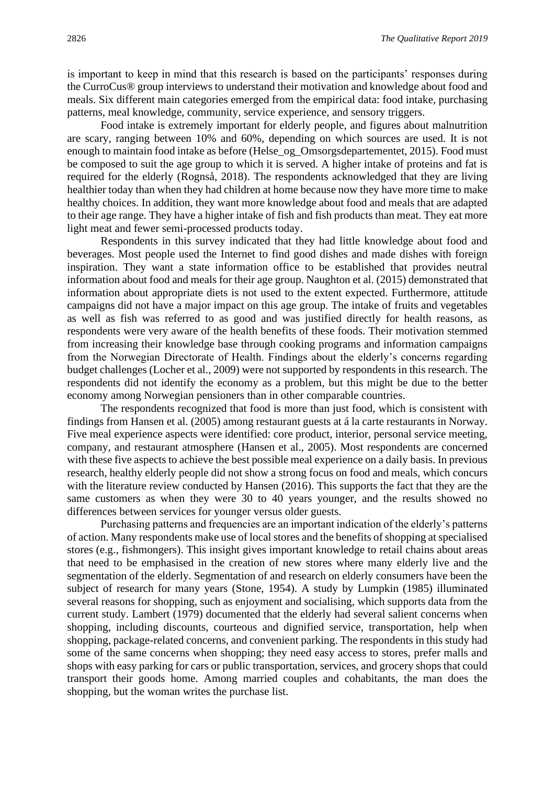is important to keep in mind that this research is based on the participants' responses during the CurroCus® group interviews to understand their motivation and knowledge about food and meals. Six different main categories emerged from the empirical data: food intake, purchasing patterns, meal knowledge, community, service experience, and sensory triggers.

Food intake is extremely important for elderly people, and figures about malnutrition are scary, ranging between 10% and 60%, depending on which sources are used. It is not enough to maintain food intake as before (Helse\_og\_Omsorgsdepartementet, 2015). Food must be composed to suit the age group to which it is served. A higher intake of proteins and fat is required for the elderly (Rognså, 2018). The respondents acknowledged that they are living healthier today than when they had children at home because now they have more time to make healthy choices. In addition, they want more knowledge about food and meals that are adapted to their age range. They have a higher intake of fish and fish products than meat. They eat more light meat and fewer semi-processed products today.

Respondents in this survey indicated that they had little knowledge about food and beverages. Most people used the Internet to find good dishes and made dishes with foreign inspiration. They want a state information office to be established that provides neutral information about food and meals for their age group. Naughton et al. (2015) demonstrated that information about appropriate diets is not used to the extent expected. Furthermore, attitude campaigns did not have a major impact on this age group. The intake of fruits and vegetables as well as fish was referred to as good and was justified directly for health reasons, as respondents were very aware of the health benefits of these foods. Their motivation stemmed from increasing their knowledge base through cooking programs and information campaigns from the Norwegian Directorate of Health. Findings about the elderly's concerns regarding budget challenges (Locher et al., 2009) were not supported by respondents in this research. The respondents did not identify the economy as a problem, but this might be due to the better economy among Norwegian pensioners than in other comparable countries.

The respondents recognized that food is more than just food, which is consistent with findings from Hansen et al. (2005) among restaurant guests at á la carte restaurants in Norway. Five meal experience aspects were identified: core product, interior, personal service meeting, company, and restaurant atmosphere (Hansen et al., 2005). Most respondents are concerned with these five aspects to achieve the best possible meal experience on a daily basis. In previous research, healthy elderly people did not show a strong focus on food and meals, which concurs with the literature review conducted by Hansen (2016). This supports the fact that they are the same customers as when they were 30 to 40 years younger, and the results showed no differences between services for younger versus older guests.

Purchasing patterns and frequencies are an important indication of the elderly's patterns of action. Many respondents make use of local stores and the benefits of shopping at specialised stores (e.g., fishmongers). This insight gives important knowledge to retail chains about areas that need to be emphasised in the creation of new stores where many elderly live and the segmentation of the elderly. Segmentation of and research on elderly consumers have been the subject of research for many years (Stone, 1954). A study by Lumpkin (1985) illuminated several reasons for shopping, such as enjoyment and socialising, which supports data from the current study. Lambert (1979) documented that the elderly had several salient concerns when shopping, including discounts, courteous and dignified service, transportation, help when shopping, package-related concerns, and convenient parking. The respondents in this study had some of the same concerns when shopping; they need easy access to stores, prefer malls and shops with easy parking for cars or public transportation, services, and grocery shops that could transport their goods home. Among married couples and cohabitants, the man does the shopping, but the woman writes the purchase list.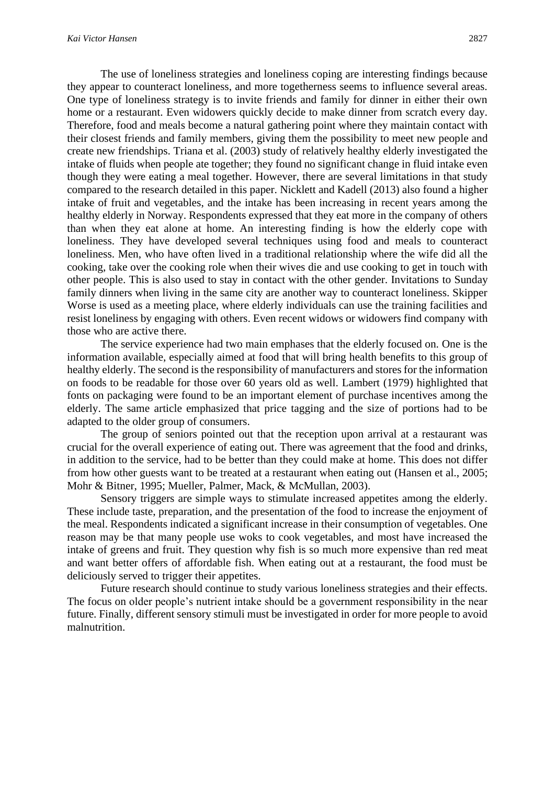The use of loneliness strategies and loneliness coping are interesting findings because they appear to counteract loneliness, and more togetherness seems to influence several areas. One type of loneliness strategy is to invite friends and family for dinner in either their own home or a restaurant. Even widowers quickly decide to make dinner from scratch every day. Therefore, food and meals become a natural gathering point where they maintain contact with their closest friends and family members, giving them the possibility to meet new people and create new friendships. Triana et al. (2003) study of relatively healthy elderly investigated the intake of fluids when people ate together; they found no significant change in fluid intake even though they were eating a meal together. However, there are several limitations in that study compared to the research detailed in this paper. Nicklett and Kadell (2013) also found a higher intake of fruit and vegetables, and the intake has been increasing in recent years among the healthy elderly in Norway. Respondents expressed that they eat more in the company of others than when they eat alone at home. An interesting finding is how the elderly cope with loneliness. They have developed several techniques using food and meals to counteract loneliness. Men, who have often lived in a traditional relationship where the wife did all the cooking, take over the cooking role when their wives die and use cooking to get in touch with other people. This is also used to stay in contact with the other gender. Invitations to Sunday family dinners when living in the same city are another way to counteract loneliness. Skipper Worse is used as a meeting place, where elderly individuals can use the training facilities and resist loneliness by engaging with others. Even recent widows or widowers find company with those who are active there.

The service experience had two main emphases that the elderly focused on. One is the information available, especially aimed at food that will bring health benefits to this group of healthy elderly. The second is the responsibility of manufacturers and stores for the information on foods to be readable for those over 60 years old as well. Lambert (1979) highlighted that fonts on packaging were found to be an important element of purchase incentives among the elderly. The same article emphasized that price tagging and the size of portions had to be adapted to the older group of consumers.

The group of seniors pointed out that the reception upon arrival at a restaurant was crucial for the overall experience of eating out. There was agreement that the food and drinks, in addition to the service, had to be better than they could make at home. This does not differ from how other guests want to be treated at a restaurant when eating out (Hansen et al., 2005; Mohr & Bitner, 1995; Mueller, Palmer, Mack, & McMullan, 2003).

Sensory triggers are simple ways to stimulate increased appetites among the elderly. These include taste, preparation, and the presentation of the food to increase the enjoyment of the meal. Respondents indicated a significant increase in their consumption of vegetables. One reason may be that many people use woks to cook vegetables, and most have increased the intake of greens and fruit. They question why fish is so much more expensive than red meat and want better offers of affordable fish. When eating out at a restaurant, the food must be deliciously served to trigger their appetites.

Future research should continue to study various loneliness strategies and their effects. The focus on older people's nutrient intake should be a government responsibility in the near future. Finally, different sensory stimuli must be investigated in order for more people to avoid malnutrition.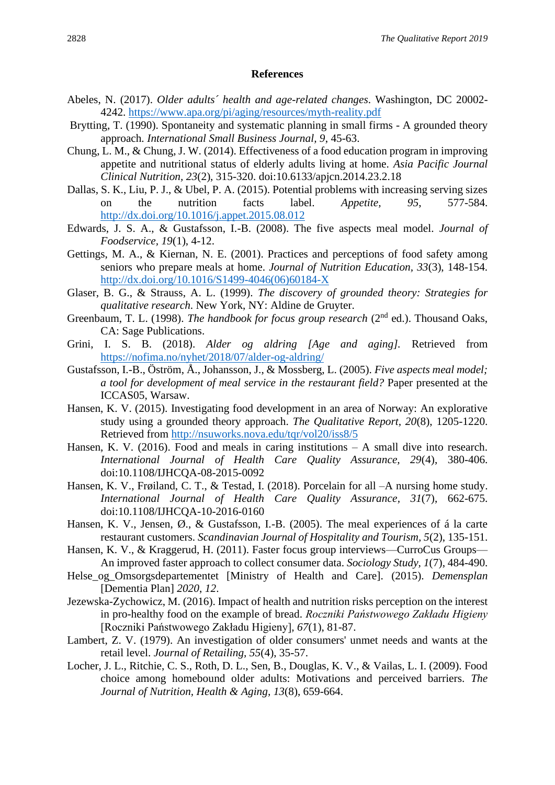## **References**

- Abeles, N. (2017). *Older adults´ health and age-related changes*. Washington, DC 20002- 4242. <https://www.apa.org/pi/aging/resources/myth-reality.pdf>
- Brytting, T. (1990). Spontaneity and systematic planning in small firms A grounded theory approach. *International Small Business Journal, 9*, 45-63.
- Chung, L. M., & Chung, J. W. (2014). Effectiveness of a food education program in improving appetite and nutritional status of elderly adults living at home. *Asia Pacific Journal Clinical Nutrition, 23*(2), 315-320. doi:10.6133/apjcn.2014.23.2.18
- Dallas, S. K., Liu, P. J., & Ubel, P. A. (2015). Potential problems with increasing serving sizes on the nutrition facts label. *Appetite, 95*, 577-584. <http://dx.doi.org/10.1016/j.appet.2015.08.012>
- Edwards, J. S. A., & Gustafsson, I.-B. (2008). The five aspects meal model. *Journal of Foodservice, 19*(1), 4-12.
- Gettings, M. A., & Kiernan, N. E. (2001). Practices and perceptions of food safety among seniors who prepare meals at home. *Journal of Nutrition Education, 33*(3), 148-154. [http://dx.doi.org/10.1016/S1499-4046\(06\)60184-X](http://dx.doi.org/10.1016/S1499-4046(06)60184-X)
- Glaser, B. G., & Strauss, A. L. (1999). *The discovery of grounded theory: Strategies for qualitative research*. New York, NY: Aldine de Gruyter.
- Greenbaum, T. L. (1998). *The handbook for focus group research* (2nd ed.). Thousand Oaks, CA: Sage Publications.
- Grini, I. S. B. (2018). *Alder og aldring [Age and aging].* Retrieved from <https://nofima.no/nyhet/2018/07/alder-og-aldring/>
- Gustafsson, I.-B., Öström, Å., Johansson, J., & Mossberg, L. (2005). *Five aspects meal model; a tool for development of meal service in the restaurant field?* Paper presented at the ICCAS05, Warsaw.
- Hansen, K. V. (2015). Investigating food development in an area of Norway: An explorative study using a grounded theory approach. *The Qualitative Report, 20*(8), 1205-1220. Retrieved from<http://nsuworks.nova.edu/tqr/vol20/iss8/5>
- Hansen, K. V. (2016). Food and meals in caring institutions A small dive into research. *International Journal of Health Care Quality Assurance, 29*(4), 380-406. doi:10.1108/IJHCQA-08-2015-0092
- Hansen, K. V., Frøiland, C. T., & Testad, I. (2018). Porcelain for all –A nursing home study. *International Journal of Health Care Quality Assurance, 31*(7), 662-675. doi:10.1108/IJHCQA-10-2016-0160
- Hansen, K. V., Jensen, Ø., & Gustafsson, I.-B. (2005). The meal experiences of á la carte restaurant customers. *Scandinavian Journal of Hospitality and Tourism, 5*(2), 135-151.
- Hansen, K. V., & Kraggerud, H. (2011). Faster focus group interviews—CurroCus Groups— An improved faster approach to collect consumer data. *Sociology Study, 1*(7), 484-490.
- Helse\_og\_Omsorgsdepartementet [Ministry of Health and Care]. (2015). *Demensplan* [Dementia Plan] *2020*, *12*.
- Jezewska-Zychowicz, M. (2016). Impact of health and nutrition risks perception on the interest in pro-healthy food on the example of bread. *Roczniki Państwowego Zakładu Higieny* [Roczniki Państwowego Zakładu Higieny]*, 67*(1), 81-87.
- Lambert, Z. V. (1979). An investigation of older consumers' unmet needs and wants at the retail level. *Journal of Retailing, 55*(4), 35-57.
- Locher, J. L., Ritchie, C. S., Roth, D. L., Sen, B., Douglas, K. V., & Vailas, L. I. (2009). Food choice among homebound older adults: Motivations and perceived barriers. *The Journal of Nutrition, Health & Aging, 13*(8), 659-664.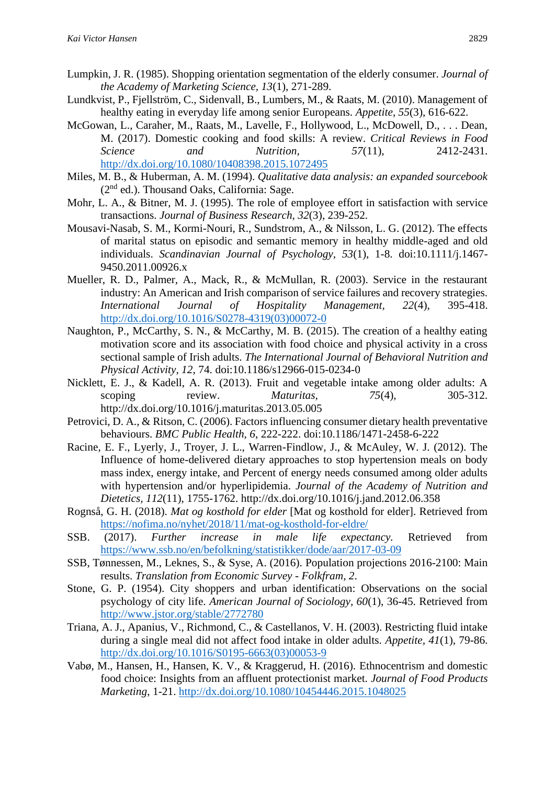- Lumpkin, J. R. (1985). Shopping orientation segmentation of the elderly consumer. *Journal of the Academy of Marketing Science, 13*(1), 271-289.
- Lundkvist, P., Fjellström, C., Sidenvall, B., Lumbers, M., & Raats, M. (2010). Management of healthy eating in everyday life among senior Europeans. *Appetite, 55*(3), 616-622.
- McGowan, L., Caraher, M., Raats, M., Lavelle, F., Hollywood, L., McDowell, D., . . . Dean, M. (2017). Domestic cooking and food skills: A review. *Critical Reviews in Food Science and Nutrition, 57*(11), 2412-2431. <http://dx.doi.org/10.1080/10408398.2015.1072495>
- Miles, M. B., & Huberman, A. M. (1994). *Qualitative data analysis: an expanded sourcebook*  $(2<sup>nd</sup>$  ed.). Thousand Oaks, California: Sage.
- Mohr, L. A., & Bitner, M. J. (1995). The role of employee effort in satisfaction with service transactions. *Journal of Business Research, 32*(3), 239-252.
- Mousavi-Nasab, S. M., Kormi-Nouri, R., Sundstrom, A., & Nilsson, L. G. (2012). The effects of marital status on episodic and semantic memory in healthy middle-aged and old individuals. *Scandinavian Journal of Psychology, 53*(1), 1-8. doi:10.1111/j.1467- 9450.2011.00926.x
- Mueller, R. D., Palmer, A., Mack, R., & McMullan, R. (2003). Service in the restaurant industry: An American and Irish comparison of service failures and recovery strategies. *International Journal of Hospitality Management, 22*(4), 395-418. [http://dx.doi.org/10.1016/S0278-4319\(03\)00072-0](http://dx.doi.org/10.1016/S0278-4319(03)00072-0)
- Naughton, P., McCarthy, S. N., & McCarthy, M. B. (2015). The creation of a healthy eating motivation score and its association with food choice and physical activity in a cross sectional sample of Irish adults. *The International Journal of Behavioral Nutrition and Physical Activity, 12*, 74. doi:10.1186/s12966-015-0234-0
- Nicklett, E. J., & Kadell, A. R. (2013). Fruit and vegetable intake among older adults: A scoping review. *Maturitas*,  $75(4)$ ,  $305-312$ . http://dx.doi.org/10.1016/j.maturitas.2013.05.005
- Petrovici, D. A., & Ritson, C. (2006). Factors influencing consumer dietary health preventative behaviours. *BMC Public Health, 6*, 222-222. doi:10.1186/1471-2458-6-222
- Racine, E. F., Lyerly, J., Troyer, J. L., Warren-Findlow, J., & McAuley, W. J. (2012). The Influence of home-delivered dietary approaches to stop hypertension meals on body mass index, energy intake, and Percent of energy needs consumed among older adults with hypertension and/or hyperlipidemia. *Journal of the Academy of Nutrition and Dietetics, 112*(11), 1755-1762. http://dx.doi.org/10.1016/j.jand.2012.06.358
- Rognså, G. H. (2018). *Mat og kosthold for elder* [Mat og kosthold for elder]. Retrieved from <https://nofima.no/nyhet/2018/11/mat-og-kosthold-for-eldre/>
- SSB. (2017). *Further increase in male life expectancy.* Retrieved from <https://www.ssb.no/en/befolkning/statistikker/dode/aar/2017-03-09>
- SSB, Tønnessen, M., Leknes, S., & Syse, A. (2016). Population projections 2016-2100: Main results. *Translation from Economic Survey - Folkfram, 2*.
- Stone, G. P. (1954). City shoppers and urban identification: Observations on the social psychology of city life. *American Journal of Sociology, 60*(1), 36-45. Retrieved from <http://www.jstor.org/stable/2772780>
- Triana, A. J., Apanius, V., Richmond, C., & Castellanos, V. H. (2003). Restricting fluid intake during a single meal did not affect food intake in older adults. *Appetite, 41*(1), 79-86. [http://dx.doi.org/10.1016/S0195-6663\(03\)00053-9](http://dx.doi.org/10.1016/S0195-6663(03)00053-9)
- Vabø, M., Hansen, H., Hansen, K. V., & Kraggerud, H. (2016). Ethnocentrism and domestic food choice: Insights from an affluent protectionist market. *Journal of Food Products Marketing*, 1-21.<http://dx.doi.org/10.1080/10454446.2015.1048025>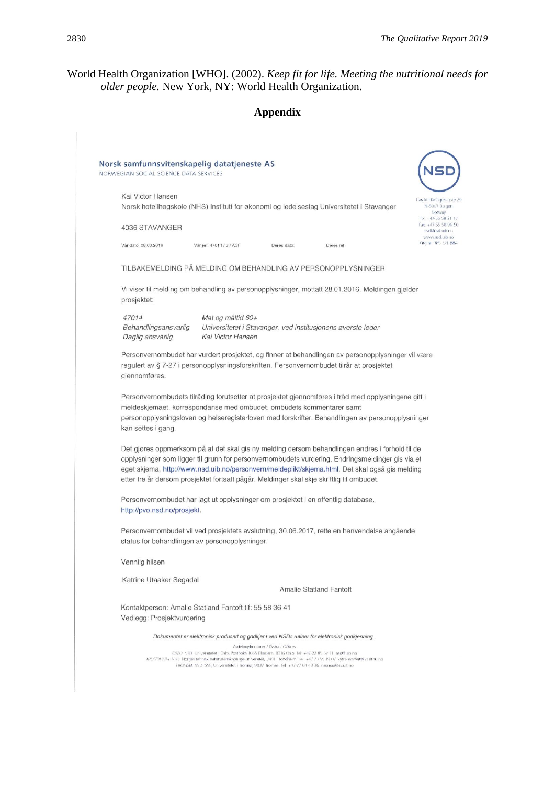## World Health Organization [WHO]. (2002). *Keep fit for life. Meeting the nutritional needs for older people.* New York, NY: World Health Organization.

|                                                                                                                                                                                                                                                                                                                                                                                                     |                                                                                                                                                                                                                                                                                                                                       | <b>Appendix</b>                                             |                                |            |                                                                |
|-----------------------------------------------------------------------------------------------------------------------------------------------------------------------------------------------------------------------------------------------------------------------------------------------------------------------------------------------------------------------------------------------------|---------------------------------------------------------------------------------------------------------------------------------------------------------------------------------------------------------------------------------------------------------------------------------------------------------------------------------------|-------------------------------------------------------------|--------------------------------|------------|----------------------------------------------------------------|
| Norsk samfunnsvitenskapelig datatjeneste AS                                                                                                                                                                                                                                                                                                                                                         |                                                                                                                                                                                                                                                                                                                                       |                                                             |                                |            |                                                                |
| NORWEGIAN SOCIAL SCIENCE DATA SERVICES                                                                                                                                                                                                                                                                                                                                                              |                                                                                                                                                                                                                                                                                                                                       |                                                             |                                |            |                                                                |
| Kai Victor Hansen<br>Norsk hotellhøgskole (NHS) Institutt for økonomi og ledelsesfag Universitetet i Stavanger                                                                                                                                                                                                                                                                                      |                                                                                                                                                                                                                                                                                                                                       |                                                             |                                |            | Harald Hárfagres gate 29<br>N-5007 Bergen<br>Norway            |
| 4036 STAVANGER                                                                                                                                                                                                                                                                                                                                                                                      |                                                                                                                                                                                                                                                                                                                                       |                                                             |                                |            | Tel. +47-55 58 21 17<br>Fax. +47-55 58 96 50<br>nsd@nsd uib no |
| Văr dato. 08.03.2016                                                                                                                                                                                                                                                                                                                                                                                | Vär ref; 47014 / 3 / ASF                                                                                                                                                                                                                                                                                                              | Deres dato:                                                 |                                | Deres ref. | on du ban www.<br>Org nr 985 321 884                           |
| TILBAKEMELDING PÅ MELDING OM BEHANDLING AV PERSONOPPLYSNINGER                                                                                                                                                                                                                                                                                                                                       |                                                                                                                                                                                                                                                                                                                                       |                                                             |                                |            |                                                                |
| Vi viser til melding om behandling av personopplysninger, mottatt 28.01.2016. Meldingen gjelder<br>prosjektet:                                                                                                                                                                                                                                                                                      |                                                                                                                                                                                                                                                                                                                                       |                                                             |                                |            |                                                                |
| 47014<br>Behandlingsansvarlig<br>Daglig ansvarlig                                                                                                                                                                                                                                                                                                                                                   | Mat og måltid 60+<br>Kai Victor Hansen                                                                                                                                                                                                                                                                                                | Universitetet i Stavanger, ved institusjonens øverste leder |                                |            |                                                                |
| Personvernombudet har vurdert prosjektet, og finner at behandlingen av personopplysninger vil være<br>regulert av § 7-27 i personopplysningsforskriften. Personvernombudet tilrår at prosjektet<br>gjennomføres.                                                                                                                                                                                    |                                                                                                                                                                                                                                                                                                                                       |                                                             |                                |            |                                                                |
| Personvernombudets tilråding forutsetter at prosjektet gjennomføres i tråd med opplysningene gitt i<br>meldeskjemaet, korrespondanse med ombudet, ombudets kommentarer samt<br>personopplysningsloven og helseregisterloven med forskrifter. Behandlingen av personopplysninger<br>kan settes i gang.                                                                                               |                                                                                                                                                                                                                                                                                                                                       |                                                             |                                |            |                                                                |
| Det gjøres oppmerksom på at det skal gis ny melding dersom behandlingen endres i forhold til de<br>opplysninger som ligger til grunn for personvernombudets vurdering. Endringsmeldinger gis via et<br>eget skjema, http://www.nsd.uib.no/personvern/meldeplikt/skjema.html. Det skal også gis melding<br>etter tre år dersom prosjektet fortsatt pågår. Meldinger skal skje skriftlig til ombudet. |                                                                                                                                                                                                                                                                                                                                       |                                                             |                                |            |                                                                |
| Personvernombudet har lagt ut opplysninger om prosjektet i en offentlig database,<br>http://pvo.nsd.no/prosjekt.                                                                                                                                                                                                                                                                                    |                                                                                                                                                                                                                                                                                                                                       |                                                             |                                |            |                                                                |
| Personvernombudet vil ved prosjektets avslutning, 30.06.2017, rette en henvendelse angående<br>status for behandlingen av personopplysninger.                                                                                                                                                                                                                                                       |                                                                                                                                                                                                                                                                                                                                       |                                                             |                                |            |                                                                |
| Vennlig hilsen                                                                                                                                                                                                                                                                                                                                                                                      |                                                                                                                                                                                                                                                                                                                                       |                                                             |                                |            |                                                                |
| Katrine Utaaker Segadal                                                                                                                                                                                                                                                                                                                                                                             |                                                                                                                                                                                                                                                                                                                                       |                                                             | <b>Amalie Statland Fantoft</b> |            |                                                                |
| Kontaktperson: Amalie Statland Fantoft tlf: 55 58 36 41                                                                                                                                                                                                                                                                                                                                             |                                                                                                                                                                                                                                                                                                                                       |                                                             |                                |            |                                                                |
| Vedlegg: Prosjektvurdering                                                                                                                                                                                                                                                                                                                                                                          |                                                                                                                                                                                                                                                                                                                                       |                                                             |                                |            |                                                                |
|                                                                                                                                                                                                                                                                                                                                                                                                     | Dokumentet er elektronisk produsert og godkjent ved NSDs rutiner for elektronisk godkjenning.                                                                                                                                                                                                                                         |                                                             |                                |            |                                                                |
|                                                                                                                                                                                                                                                                                                                                                                                                     | OSLO NSD Universitetet i Oslo, Postboks 1055 Blindern, 0316 Oslo. lel: +47 22 85 52 11 nsd@tujo.no.<br>TRONDHEIM NSD. Norges teknisk naturvitenskapelige universitet, 7491 Trondheim. Iel. +47 73 59 19 07 kyrre-svarva@svt.ntnu.no<br>TROMSØ. NSD. SVE, Universitetet i Tromsø, 9037 Tromsø. Tel: +47-77 64-43-36. nsdmaa@sv.uit.no. | Avdelingskontorer / District Offices                        |                                |            |                                                                |
|                                                                                                                                                                                                                                                                                                                                                                                                     |                                                                                                                                                                                                                                                                                                                                       |                                                             |                                |            |                                                                |
|                                                                                                                                                                                                                                                                                                                                                                                                     |                                                                                                                                                                                                                                                                                                                                       |                                                             |                                |            |                                                                |